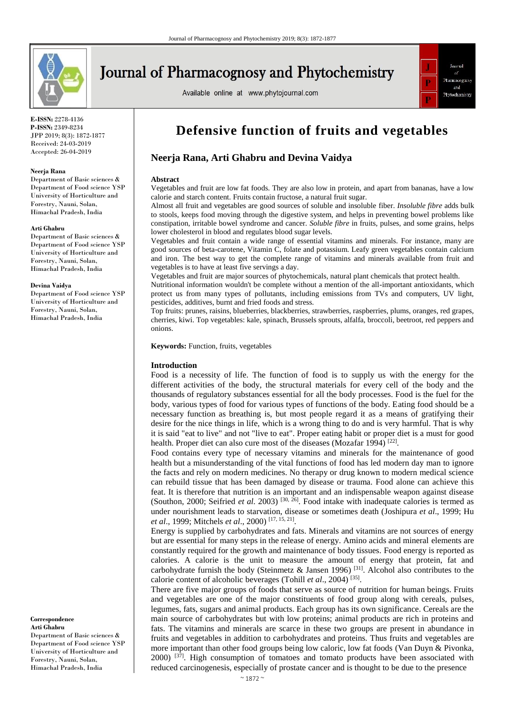

# **Journal of Pharmacognosy and Phytochemistry**

Available online at www.phytojournal.com



**E-ISSN:** 2278-4136 **P-ISSN:** 2349-8234 JPP 2019; 8(3): 1872-1877 Received: 24-03-2019 Accepted: 26-04-2019

#### **Neerja Rana**

Department of Basic sciences & Department of Food science YSP University of Horticulture and Forestry, Nauni, Solan, Himachal Pradesh, India

#### **Arti Ghabru**

Department of Basic sciences & Department of Food science YSP University of Horticulture and Forestry, Nauni, Solan, Himachal Pradesh, India

#### **Devina Vaidya**

Department of Food science YSP University of Horticulture and Forestry, Nauni, Solan, Himachal Pradesh, India

**Correspondence Arti Ghabru**

Department of Basic sciences & Department of Food science YSP University of Horticulture and Forestry, Nauni, Solan, Himachal Pradesh, India

## **Defensive function of fruits and vegetables**

## **Neerja Rana, Arti Ghabru and Devina Vaidya**

#### **Abstract**

Vegetables and fruit are low fat foods. They are also low in protein, and apart from bananas, have a low calorie and starch content. Fruits contain fructose, a natural fruit sugar.

Almost all fruit and vegetables are good sources of soluble and insoluble fiber. *Insoluble fibre* adds bulk to stools, keeps food moving through the digestive system, and helps in preventing bowel problems like constipation, irritable bowel syndrome and cancer. *Soluble fibre* in fruits, pulses, and some grains, helps lower cholesterol in blood and regulates blood sugar levels.

Vegetables and fruit contain a wide range of essential vitamins and minerals. For instance, many are good sources of beta-carotene, Vitamin C, folate and potassium. Leafy green vegetables contain calcium and iron. The best way to get the complete range of vitamins and minerals available from fruit and vegetables is to have at least five servings a day.

Vegetables and fruit are major sources of phytochemicals, natural plant chemicals that protect health.

Nutritional information wouldn't be complete without a mention of the all-important antioxidants, which protect us from many types of pollutants, including emissions from TVs and computers, UV light, pesticides, additives, burnt and fried foods and stress.

Top fruits: prunes, raisins, blueberries, blackberries, strawberries, raspberries, plums, oranges, red grapes, cherries, kiwi. Top vegetables: kale, spinach, Brussels sprouts, alfalfa, broccoli, beetroot, red peppers and onions.

**Keywords:** Function, fruits, vegetables

#### **Introduction**

Food is a necessity of life. The function of food is to supply us with the energy for the different activities of the body, the structural materials for every cell of the body and the thousands of regulatory substances essential for all the body processes. Food is the fuel for the body, various types of food for various types of functions of the body. Eating food should be a necessary function as breathing is, but most people regard it as a means of gratifying their desire for the nice things in life, which is a wrong thing to do and is very harmful. That is why it is said "eat to live" and not "live to eat". Proper eating habit or proper diet is a must for good health. Proper diet can also cure most of the diseases (Mozafar 1994)<sup>[22]</sup>.

Food contains every type of necessary vitamins and minerals for the maintenance of good health but a misunderstanding of the vital functions of food has led modern day man to ignore the facts and rely on modern medicines. No therapy or drug known to modern medical science can rebuild tissue that has been damaged by disease or trauma. Food alone can achieve this feat. It is therefore that nutrition is an important and an indispensable weapon against disease (Southon, 2000; Seifried et al. 2003)<sup>[30, 26]</sup>. Food intake with inadequate calories is termed as under nourishment leads to starvation, disease or sometimes death (Joshipura *et al*., 1999; Hu *et al*., 1999; Mitchels *et al*., 2000) [17, 15, 21] .

Energy is supplied by carbohydrates and fats. Minerals and vitamins are not sources of energy but are essential for many steps in the release of energy. Amino acids and mineral elements are constantly required for the growth and maintenance of body tissues. Food energy is reported as calories. A calorie is the unit to measure the amount of energy that protein, fat and carbohydrate furnish the body (Steinmetz & Jansen 1996)<sup>[31]</sup>. Alcohol also contributes to the calorie content of alcoholic beverages (Tohill *et al.*, 2004)<sup>[35]</sup>.

There are five major groups of foods that serve as source of nutrition for human beings. Fruits and vegetables are one of the major constituents of food group along with cereals, pulses, legumes, fats, sugars and animal products. Each group has its own significance. Cereals are the main source of carbohydrates but with low proteins; animal products are rich in proteins and fats. The vitamins and minerals are scarce in these two groups are present in abundance in fruits and vegetables in addition to carbohydrates and proteins. Thus fruits and vegetables are more important than other food groups being low caloric, low fat foods (Van Duyn & Pivonka, 2000)<sup>[37]</sup>. High consumption of tomatoes and tomato products have been associated with reduced carcinogenesis, especially of prostate cancer and is thought to be due to the presence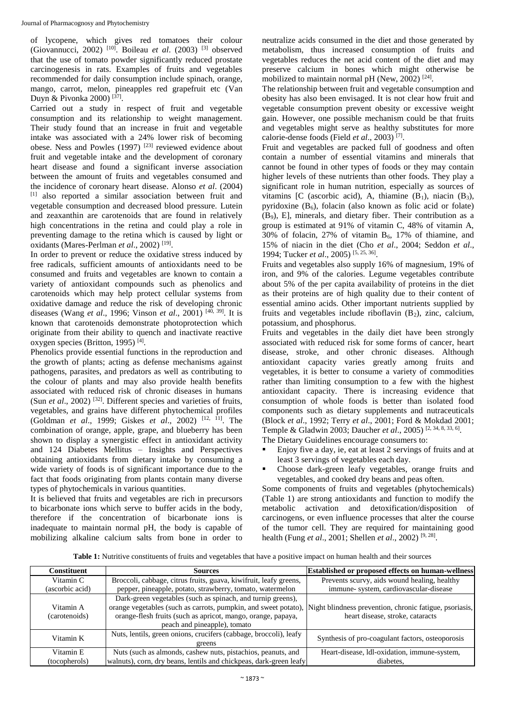of lycopene, which gives red tomatoes their colour (Giovannucci, 2002) [10] . Boileau *et al*. (2003) [3] observed that the use of tomato powder significantly reduced prostate carcinogenesis in rats. Examples of fruits and vegetables recommended for daily consumption include spinach, orange, mango, carrot, melon, pineapples red grapefruit etc (Van Duyn & Pivonka 2000)<sup>[37]</sup>.

Carried out a study in respect of fruit and vegetable consumption and its relationship to weight management. Their study found that an increase in fruit and vegetable intake was associated with a 24% lower risk of becoming obese. Ness and Powles  $(1997)$ <sup>[23]</sup> reviewed evidence about fruit and vegetable intake and the development of coronary heart disease and found a significant inverse association between the amount of fruits and vegetables consumed and the incidence of coronary heart disease. Alonso *et al*. (2004) [1] also reported a similar association between fruit and vegetable consumption and decreased blood pressure. Lutein and zeaxanthin are carotenoids that are found in relatively high concentrations in the retina and could play a role in preventing damage to the retina which is caused by light or oxidants (Mares-Perlman et al., 2002)<sup>[19]</sup>.

In order to prevent or reduce the oxidative stress induced by free radicals, sufficient amounts of antioxidants need to be consumed and fruits and vegetables are known to contain a variety of antioxidant compounds such as phenolics and carotenoids which may help protect cellular systems from oxidative damage and reduce the risk of developing chronic diseases (Wang *et al*., 1996; Vinson *et al*., 2001) [40, 39] . It is known that carotenoids demonstrate photoprotection which originate from their ability to quench and inactivate reactive oxygen species (Britton, 1995)<sup>[4]</sup>.

Phenolics provide essential functions in the reproduction and the growth of plants; acting as defense mechanisms against pathogens, parasites, and predators as well as contributing to the colour of plants and may also provide health benefits associated with reduced risk of chronic diseases in humans (Sun *et al.*, 2002)<sup>[32]</sup>. Different species and varieties of fruits, vegetables, and grains have different phytochemical profiles (Goldman *et al*., 1999; Giskes *et al*., 2002) [12, 11] . The combination of orange, apple, grape, and blueberry has been shown to display a synergistic effect in antioxidant activity and 124 Diabetes Mellitus – Insights and Perspectives obtaining antioxidants from dietary intake by consuming a wide variety of foods is of significant importance due to the fact that foods originating from plants contain many diverse types of phytochemicals in various quantities.

It is believed that fruits and vegetables are rich in precursors to bicarbonate ions which serve to buffer acids in the body, therefore if the concentration of bicarbonate ions is inadequate to maintain normal pH, the body is capable of mobilizing alkaline calcium salts from bone in order to

neutralize acids consumed in the diet and those generated by metabolism, thus increased consumption of fruits and vegetables reduces the net acid content of the diet and may preserve calcium in bones which might otherwise be mobilized to maintain normal pH (New, 2002)<sup>[24]</sup>.

The relationship between fruit and vegetable consumption and obesity has also been envisaged. It is not clear how fruit and vegetable consumption prevent obesity or excessive weight gain. However, one possible mechanism could be that fruits and vegetables might serve as healthy substitutes for more calorie-dense foods (Field *et al*., 2003) [7] .

Fruit and vegetables are packed full of goodness and often contain a number of essential vitamins and minerals that cannot be found in other types of foods or they may contain higher levels of these nutrients than other foods. They play a significant role in human nutrition, especially as sources of vitamins [C (ascorbic acid), A, thiamine  $(B_1)$ , niacin  $(B_3)$ , pyridoxine  $(B_6)$ , folacin (also known as folic acid or folate) (B9), E], minerals, and dietary fiber. Their contribution as a group is estimated at 91% of vitamin C, 48% of vitamin A,  $30\%$  of folacin, 27% of vitamin B<sub>6</sub>, 17% of thiamine, and 15% of niacin in the diet (Cho *et al*., 2004; Seddon *et al*., 1994; Tucker *et al*., 2005) [5, 25, 36] .

Fruits and vegetables also supply 16% of magnesium, 19% of iron, and 9% of the calories. Legume vegetables contribute about 5% of the per capita availability of proteins in the diet as their proteins are of high quality due to their content of essential amino acids. Other important nutrients supplied by fruits and vegetables include riboflavin  $(B_2)$ , zinc, calcium, potassium, and phosphorus.

Fruits and vegetables in the daily diet have been strongly associated with reduced risk for some forms of cancer, heart disease, stroke, and other chronic diseases. Although antioxidant capacity varies greatly among fruits and vegetables, it is better to consume a variety of commodities rather than limiting consumption to a few with the highest antioxidant capacity. There is increasing evidence that consumption of whole foods is better than isolated food components such as dietary supplements and nutraceuticals (Block *et al*., 1992; Terry *et al*., 2001; Ford & Mokdad 2001; Temple & Gladwin 2003; Daucher *et al.*, 2005)<sup>[2, 34, 8, 33, 6].</sup>

The Dietary Guidelines encourage consumers to:

- Enjoy five a day, ie, eat at least 2 servings of fruits and at least 3 servings of vegetables each day.
- Choose dark-green leafy vegetables, orange fruits and vegetables, and cooked dry beans and peas often.

Some components of fruits and vegetables (phytochemicals) (Table 1) are strong antioxidants and function to modify the metabolic activation and detoxification/disposition of carcinogens, or even influence processes that alter the course of the tumor cell. They are required for maintaining good health (Fung *et al*., 2001; Shellen *et al*., 2002) [9, 28] .

**Table 1:** Nutritive constituents of fruits and vegetables that have a positive impact on human health and their sources

| Constituent     | <b>Sources</b>                                                                                                           | <b>Established or proposed effects on human-wellness</b> |
|-----------------|--------------------------------------------------------------------------------------------------------------------------|----------------------------------------------------------|
| Vitamin C       | Broccoli, cabbage, citrus fruits, guava, kiwifruit, leafy greens,                                                        | Prevents scurvy, aids wound healing, healthy             |
| (ascorbic acid) | pepper, pineapple, potato, strawberry, tomato, watermelon                                                                | immune- system, cardiovascular-disease                   |
|                 | Dark-green vegetables (such as spinach, and turnip greens),                                                              |                                                          |
| Vitamin A       | orange vegetables (such as carrots, pumpkin, and sweet potato),  Night blindness prevention, chronic fatigue, psoriasis, |                                                          |
| (carotenoids)   | orange-flesh fruits (such as apricot, mango, orange, papaya,                                                             | heart disease, stroke, cataracts                         |
|                 | peach and pineapple), tomato                                                                                             |                                                          |
| Vitamin K       | Nuts, lentils, green onions, crucifers (cabbage, broccoli), leafy                                                        | Synthesis of pro-coagulant factors, osteoporosis         |
|                 | greens                                                                                                                   |                                                          |
| Vitamin E       | Nuts (such as almonds, cashew nuts, pistachios, peanuts, and                                                             | Heart-disease, Idl-oxidation, immune-system,             |
| (tocopherols)   | walnuts), corn, dry beans, lentils and chickpeas, dark-green leafy                                                       | diabetes.                                                |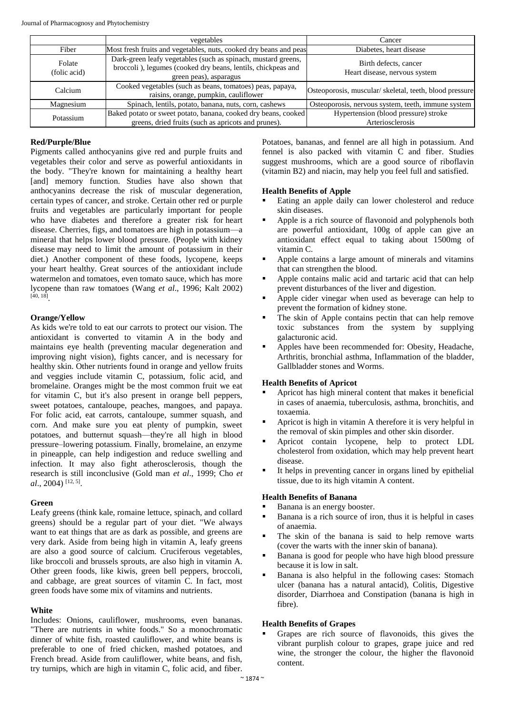|                        | vegetables                                                                                                                                              | Cancer                                                   |
|------------------------|---------------------------------------------------------------------------------------------------------------------------------------------------------|----------------------------------------------------------|
| Fiber                  | Most fresh fruits and vegetables, nuts, cooked dry beans and peas                                                                                       | Diabetes, heart disease                                  |
| Folate<br>(folic acid) | Dark-green leafy vegetables (such as spinach, mustard greens,<br>broccoli), legumes (cooked dry beans, lentils, chickpeas and<br>green peas), asparagus | Birth defects, cancer<br>Heart disease, nervous system   |
| Calcium                | Cooked vegetables (such as beans, tomatoes) peas, papaya,<br>raisins, orange, pumpkin, cauliflower                                                      | Osteoporosis, muscular/skeletal, teeth, blood pressure   |
| Magnesium              | Spinach, lentils, potato, banana, nuts, corn, cashews                                                                                                   | Osteoporosis, nervous system, teeth, immune system       |
| Potassium              | Baked potato or sweet potato, banana, cooked dry beans, cooked<br>greens, dried fruits (such as apricots and prunes).                                   | Hypertension (blood pressure) stroke<br>Arteriosclerosis |

## **Red/Purple/Blue**

Pigments called anthocyanins give red and purple fruits and vegetables their color and serve as powerful antioxidants in the body. "They're known for maintaining a healthy heart [and] memory function. Studies have also shown that anthocyanins decrease the risk of muscular degeneration, certain types of cancer, and stroke. Certain other red or purple fruits and vegetables are particularly important for people who have diabetes and therefore a greater risk for heart disease. Cherries, figs, and tomatoes are high in potassium—a mineral that helps lower blood pressure. (People with kidney disease may need to limit the amount of potassium in their diet.) Another component of these foods, lycopene, keeps your heart healthy. Great sources of the antioxidant include watermelon and tomatoes, even tomato sauce, which has more lycopene than raw tomatoes (Wang *et al*., 1996; Kalt 2002) [40, 18] .

### **Orange/Yellow**

As kids we're told to eat our carrots to protect our vision. The antioxidant is converted to vitamin A in the body and maintains eye health (preventing macular degeneration and improving night vision), fights cancer, and is necessary for healthy skin. Other nutrients found in orange and yellow fruits and veggies include vitamin C, potassium, folic acid, and bromelaine. Oranges might be the most common fruit we eat for vitamin C, but it's also present in orange bell peppers, sweet potatoes, cantaloupe, peaches, mangoes, and papaya. For folic acid, eat carrots, cantaloupe, summer squash, and corn. And make sure you eat plenty of pumpkin, sweet potatoes, and butternut squash—they're all high in blood pressure–lowering potassium. Finally, bromelaine, an enzyme in pineapple, can help indigestion and reduce swelling and infection. It may also fight atherosclerosis, though the research is still inconclusive (Gold man *et al*., 1999; Cho *et al*., 2004) [12, 5] .

### **Green**

Leafy greens (think kale, romaine lettuce, spinach, and collard greens) should be a regular part of your diet. "We always want to eat things that are as dark as possible, and greens are very dark. Aside from being high in vitamin A, leafy greens are also a good source of calcium. Cruciferous vegetables, like broccoli and brussels sprouts, are also high in vitamin A. Other green foods, like kiwis, green bell peppers, broccoli, and cabbage, are great sources of vitamin C. In fact, most green foods have some mix of vitamins and nutrients.

### **White**

Includes: Onions, cauliflower, mushrooms, even bananas. "There are nutrients in white foods." So a monochromatic dinner of white fish, roasted cauliflower, and white beans is preferable to one of fried chicken, mashed potatoes, and French bread. Aside from cauliflower, white beans, and fish, try turnips, which are high in vitamin C, folic acid, and fiber.

Potatoes, bananas, and fennel are all high in potassium. And fennel is also packed with vitamin C and fiber. Studies suggest mushrooms, which are a good source of riboflavin (vitamin B2) and niacin, may help you feel full and satisfied.

## **Health Benefits of Apple**

- Eating an apple daily can lower cholesterol and reduce skin diseases.
- Apple is a rich source of flavonoid and polyphenols both are powerful antioxidant, 100g of apple can give an antioxidant effect equal to taking about 1500mg of vitamin C.
- Apple contains a large amount of minerals and vitamins that can strengthen the blood.
- Apple contains malic acid and tartaric acid that can help prevent disturbances of the liver and digestion.
- Apple cider vinegar when used as beverage can help to prevent the formation of kidney stone.
- The skin of Apple contains pectin that can help remove toxic substances from the system by supplying galacturonic acid.
- Apples have been recommended for: Obesity, Headache, Arthritis, bronchial asthma, Inflammation of the bladder, Gallbladder stones and Worms.

### **Health Benefits of Apricot**

- Apricot has high mineral content that makes it beneficial in cases of anaemia, tuberculosis, asthma, bronchitis, and toxaemia.
- Apricot is high in vitamin A therefore it is very helpful in the removal of skin pimples and other skin disorder.
- Apricot contain lycopene, help to protect LDL cholesterol from oxidation, which may help prevent heart disease.
- It helps in preventing cancer in organs lined by epithelial tissue, due to its high vitamin A content.

## **Health Benefits of Banana**

- Banana is an energy booster.
- Banana is a rich source of iron, thus it is helpful in cases of anaemia.
- The skin of the banana is said to help remove warts (cover the warts with the inner skin of banana).
- Banana is good for people who have high blood pressure because it is low in salt.
- Banana is also helpful in the following cases: Stomach ulcer (banana has a natural antacid), Colitis, Digestive disorder, Diarrhoea and Constipation (banana is high in fibre).

## **Health Benefits of Grapes**

 Grapes are rich source of flavonoids, this gives the vibrant purplish colour to grapes, grape juice and red wine, the stronger the colour, the higher the flavonoid content.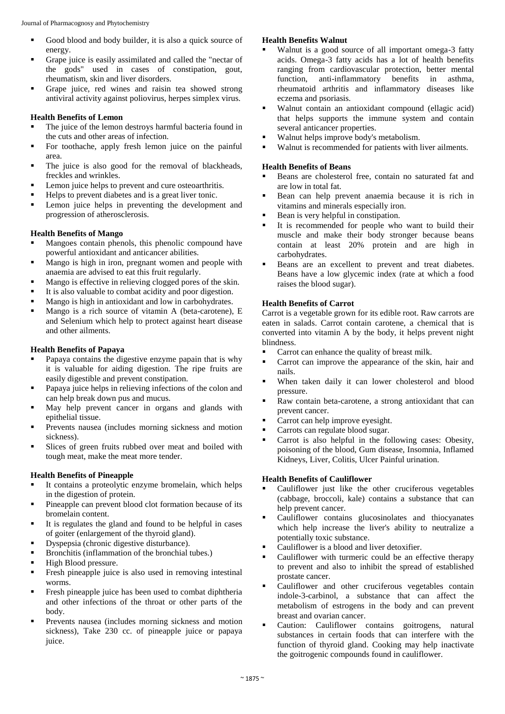- Good blood and body builder, it is also a quick source of energy.
- Grape juice is easily assimilated and called the "nectar of the gods" used in cases of constipation, gout, rheumatism, skin and liver disorders.
- Grape juice, red wines and raisin tea showed strong antiviral activity against poliovirus, herpes simplex virus.

### **Health Benefits of Lemon**

- The juice of the lemon destroys harmful bacteria found in the cuts and other areas of infection.
- For toothache, apply fresh lemon juice on the painful area.
- The juice is also good for the removal of blackheads, freckles and wrinkles.
- Lemon juice helps to prevent and cure osteoarthritis.
- Helps to prevent diabetes and is a great liver tonic.
- Lemon juice helps in preventing the development and progression of atherosclerosis.

#### **Health Benefits of Mango**

- Mangoes contain phenols, this phenolic compound have powerful antioxidant and anticancer abilities.
- Mango is high in iron, pregnant women and people with anaemia are advised to eat this fruit regularly.
- Mango is effective in relieving clogged pores of the skin.
- It is also valuable to combat acidity and poor digestion.
- Mango is high in antioxidant and low in carbohydrates.
- Mango is a rich source of vitamin A (beta-carotene), E and Selenium which help to protect against heart disease and other ailments.

#### **Health Benefits of Papaya**

- Papaya contains the digestive enzyme papain that is why it is valuable for aiding digestion. The ripe fruits are easily digestible and prevent constipation.
- Papaya juice helps in relieving infections of the colon and can help break down pus and mucus.
- May help prevent cancer in organs and glands with epithelial tissue.
- Prevents nausea (includes morning sickness and motion sickness).
- Slices of green fruits rubbed over meat and boiled with tough meat, make the meat more tender.

#### **Health Benefits of Pineapple**

- It contains a proteolytic enzyme bromelain, which helps in the digestion of protein.
- Pineapple can prevent blood clot formation because of its bromelain content.
- It is regulates the gland and found to be helpful in cases of goiter (enlargement of the thyroid gland).
- Dyspepsia (chronic digestive disturbance).
- Bronchitis (inflammation of the bronchial tubes.)
- High Blood pressure.
- Fresh pineapple juice is also used in removing intestinal worms.
- Fresh pineapple juice has been used to combat diphtheria and other infections of the throat or other parts of the body.
- Prevents nausea (includes morning sickness and motion sickness), Take 230 cc. of pineapple juice or papaya juice.

#### **Health Benefits Walnut**

- Walnut is a good source of all important omega-3 fatty acids. Omega-3 fatty acids has a lot of health benefits ranging from cardiovascular protection, better mental function, anti-inflammatory benefits in asthma, rheumatoid arthritis and inflammatory diseases like eczema and psoriasis.
- Walnut contain an antioxidant compound (ellagic acid) that helps supports the immune system and contain several anticancer properties.
- Walnut helps improve body's metabolism.
- Walnut is recommended for patients with liver ailments.

## **Health Benefits of Beans**

- Beans are cholesterol free, contain no saturated fat and are low in total fat.
- Bean can help prevent anaemia because it is rich in vitamins and minerals especially iron.
- Bean is very helpful in constipation.
- It is recommended for people who want to build their muscle and make their body stronger because beans contain at least 20% protein and are high in carbohydrates.
- Beans are an excellent to prevent and treat diabetes. Beans have a low glycemic index (rate at which a food raises the blood sugar).

### **Health Benefits of Carrot**

Carrot is a vegetable grown for its edible root. Raw carrots are eaten in salads. Carrot contain carotene, a chemical that is converted into vitamin A by the body, it helps prevent night blindness.

- **Carrot can enhance the quality of breast milk.**
- **Carrot can improve the appearance of the skin, hair and** nails.
- When taken daily it can lower cholesterol and blood pressure.
- Raw contain beta-carotene, a strong antioxidant that can prevent cancer.
- **Carrot can help improve eyesight.**
- **Carrots can regulate blood sugar.**
- Carrot is also helpful in the following cases: Obesity, poisoning of the blood, Gum disease, Insomnia, Inflamed Kidneys, Liver, Colitis, Ulcer Painful urination.

#### **Health Benefits of Cauliflower**

- Cauliflower just like the other cruciferous vegetables (cabbage, broccoli, kale) contains a substance that can help prevent cancer.
- Cauliflower contains glucosinolates and thiocyanates which help increase the liver's ability to neutralize a potentially toxic substance.
- Cauliflower is a blood and liver detoxifier.
- Cauliflower with turmeric could be an effective therapy to prevent and also to inhibit the spread of established prostate cancer.
- Cauliflower and other cruciferous vegetables contain indole-3-carbinol, a substance that can affect the metabolism of estrogens in the body and can prevent breast and ovarian cancer.
- Caution: Cauliflower contains goitrogens, natural substances in certain foods that can interfere with the function of thyroid gland. Cooking may help inactivate the goitrogenic compounds found in cauliflower.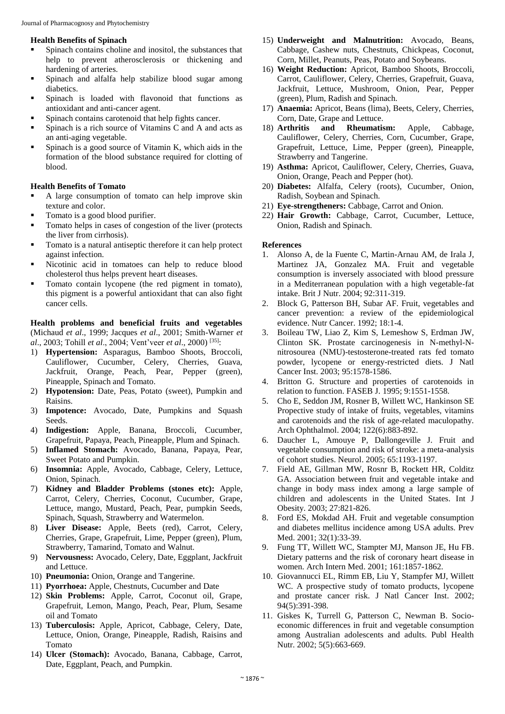#### **Health Benefits of Spinach**

- Spinach contains choline and inositol, the substances that help to prevent atherosclerosis or thickening and hardening of arteries.
- Spinach and alfalfa help stabilize blood sugar among diabetics.
- Spinach is loaded with flavonoid that functions as antioxidant and anti-cancer agent.
- Spinach contains carotenoid that help fights cancer.
- Spinach is a rich source of Vitamins C and A and acts as an anti-aging vegetable.
- Spinach is a good source of Vitamin K, which aids in the formation of the blood substance required for clotting of blood.

## **Health Benefits of Tomato**

- A large consumption of tomato can help improve skin texture and color.
- Tomato is a good blood purifier.
- Tomato helps in cases of congestion of the liver (protects the liver from cirrhosis).
- Tomato is a natural antiseptic therefore it can help protect against infection.
- Nicotinic acid in tomatoes can help to reduce blood cholesterol thus helps prevent heart diseases.
- Tomato contain lycopene (the red pigment in tomato), this pigment is a powerful antioxidant that can also fight cancer cells.

**Health problems and beneficial fruits and vegetables**  (Michaud *et al*., 1999; Jacques *et al*., 2001; Smith-Warner *et al*., 2003; Tohill *et al*., 2004; Vent'veer *et al*., 2000) [35] :

- 1) **Hypertension:** Asparagus, Bamboo Shoots, Broccoli, Cauliflower, Cucumber, Celery, Cherries, Guava, Jackfruit, Orange, Peach, Pear, Pepper (green), Pineapple, Spinach and Tomato.
- 2) **Hypotension:** Date, Peas, Potato (sweet), Pumpkin and Raisins.
- 3) **Impotence:** Avocado, Date, Pumpkins and Squash Seeds.
- 4) **Indigestion:** Apple, Banana, Broccoli, Cucumber, Grapefruit, Papaya, Peach, Pineapple, Plum and Spinach.
- 5) **Inflamed Stomach:** Avocado, Banana, Papaya, Pear, Sweet Potato and Pumpkin.
- 6) **Insomnia:** Apple, Avocado, Cabbage, Celery, Lettuce, Onion, Spinach.
- 7) **Kidney and Bladder Problems (stones etc):** Apple, Carrot, Celery, Cherries, Coconut, Cucumber, Grape, Lettuce, mango, Mustard, Peach, Pear, pumpkin Seeds, Spinach, Squash, Strawberry and Watermelon.
- 8) **Liver Disease:** Apple, Beets (red), Carrot, Celery, Cherries, Grape, Grapefruit, Lime, Pepper (green), Plum, Strawberry, Tamarind, Tomato and Walnut.
- 9) **Nervousness:** Avocado, Celery, Date, Eggplant, Jackfruit and Lettuce.
- 10) **Pneumonia:** Onion, Orange and Tangerine.
- 11) **Pyorrhoea:** Apple, Chestnuts, Cucumber and Date
- 12) **Skin Problems:** Apple, Carrot, Coconut oil, Grape, Grapefruit, Lemon, Mango, Peach, Pear, Plum, Sesame oil and Tomato
- 13) **Tuberculosis:** Apple, Apricot, Cabbage, Celery, Date, Lettuce, Onion, Orange, Pineapple, Radish, Raisins and Tomato
- 14) **Ulcer (Stomach):** Avocado, Banana, Cabbage, Carrot, Date, Eggplant, Peach, and Pumpkin.
- 15) **Underweight and Malnutrition:** Avocado, Beans, Cabbage, Cashew nuts, Chestnuts, Chickpeas, Coconut, Corn, Millet, Peanuts, Peas, Potato and Soybeans.
- 16) **Weight Reduction:** Apricot, Bamboo Shoots, Broccoli, Carrot, Cauliflower, Celery, Cherries, Grapefruit, Guava, Jackfruit, Lettuce, Mushroom, Onion, Pear, Pepper (green), Plum, Radish and Spinach.
- 17) **Anaemia:** Apricot, Beans (lima), Beets, Celery, Cherries, Corn, Date, Grape and Lettuce.
- 18) **Arthritis and Rheumatism:** Apple, Cabbage, Cauliflower, Celery, Cherries, Corn, Cucumber, Grape, Grapefruit, Lettuce, Lime, Pepper (green), Pineapple, Strawberry and Tangerine.
- 19) **Asthma:** Apricot, Cauliflower, Celery, Cherries, Guava, Onion, Orange, Peach and Pepper (hot).
- 20) **Diabetes:** Alfalfa, Celery (roots), Cucumber, Onion, Radish, Soybean and Spinach.
- 21) **Eye-strengtheners:** Cabbage, Carrot and Onion.
- 22) **Hair Growth:** Cabbage, Carrot, Cucumber, Lettuce, Onion, Radish and Spinach.

#### **References**

- 1. Alonso A, de la Fuente C, Martin-Arnau AM, de Irala J, Martinez JA, Gonzalez MA. Fruit and vegetable consumption is inversely associated with blood pressure in a Mediterranean population with a high vegetable-fat intake. Brit J Nutr. 2004; 92:311-319.
- 2. Block G, Patterson BH, Subar AF. Fruit, vegetables and cancer prevention: a review of the epidemiological evidence. Nutr Cancer. 1992; 18:1-4.
- 3. Boileau TW, Liao Z, Kim S, Lemeshow S, Erdman JW, Clinton SK. Prostate carcinogenesis in N-methyl-Nnitrosourea (NMU)-testosterone-treated rats fed tomato powder, lycopene or energy-restricted diets. J Natl Cancer Inst. 2003; 95:1578-1586.
- 4. Britton G. Structure and properties of carotenoids in relation to function. FASEB J. 1995; 9:1551-1558.
- 5. Cho E, Seddon JM, Rosner B, Willett WC, Hankinson SE Propective study of intake of fruits, vegetables, vitamins and carotenoids and the risk of age-related maculopathy. Arch Ophthalmol. 2004; 122(6):883-892.
- 6. Daucher L, Amouye P, Dallongeville J. Fruit and vegetable consumption and risk of stroke: a meta-analysis of cohort studies. Neurol. 2005; 65:1193-1197.
- 7. Field AE, Gillman MW, Rosnr B, Rockett HR, Colditz GA. Association between fruit and vegetable intake and change in body mass index among a large sample of children and adolescents in the United States. Int J Obesity. 2003; 27:821-826.
- 8. Ford ES, Mokdad AH. Fruit and vegetable consumption and diabetes mellitus incidence among USA adults. Prev Med. 2001; 32(1):33-39.
- 9. Fung TT, Willett WC, Stampter MJ, Manson JE, Hu FB. Dietary patterns and the risk of coronary heart disease in women. Arch Intern Med. 2001; 161:1857-1862.
- 10. Giovannucci EL, Rimm EB, Liu Y, Stampfer MJ, Willett WC. A prospective study of tomato products, lycopene and prostate cancer risk. J Natl Cancer Inst. 2002; 94(5):391-398.
- 11. Giskes K, Turrell G, Patterson C, Newman B. Socioeconomic differences in fruit and vegetable consumption among Australian adolescents and adults. Publ Health Nutr. 2002; 5(5):663-669.